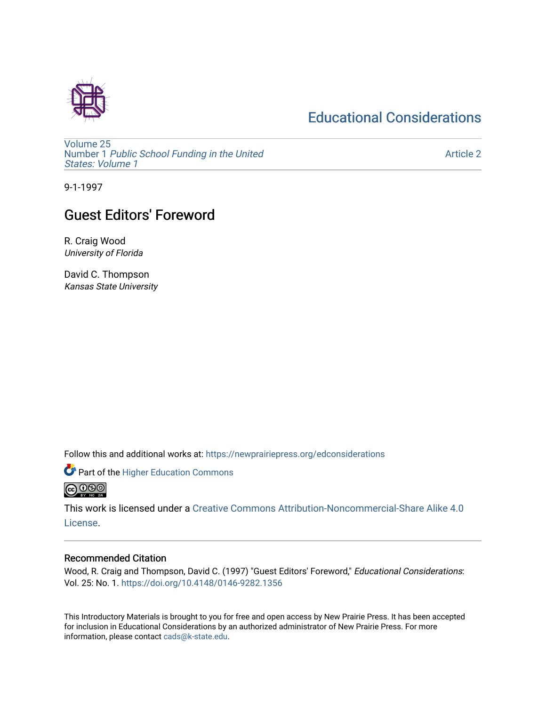## [Educational Considerations](https://newprairiepress.org/edconsiderations)



[Volume 25](https://newprairiepress.org/edconsiderations/vol25) Number 1 [Public School Funding in the United](https://newprairiepress.org/edconsiderations/vol25/iss1) [States: Volume 1](https://newprairiepress.org/edconsiderations/vol25/iss1) 

[Article 2](https://newprairiepress.org/edconsiderations/vol25/iss1/2) 

9-1-1997

## **Guest Editors' Foreword**

R. Craig Wood University of Florida

David C. Thompson Kansas State University

Follow this and additional works at: [https://newprairiepress.org/edconsiderations](https://newprairiepress.org/edconsiderations?utm_source=newprairiepress.org%2Fedconsiderations%2Fvol25%2Fiss1%2F2&utm_medium=PDF&utm_campaign=PDFCoverPages) 

**Part of the Higher Education Commons @@@** 

This work is licensed under a [Creative Commons Attribution-Noncommercial-Share Alike 4.0](https://creativecommons.org/licenses/by-nc-sa/4.0/) [License.](https://creativecommons.org/licenses/by-nc-sa/4.0/)

## Recommended Citation

Wood, R. Craig and Thompson, David C. (1997) "Guest Editors' Foreword," Educational Considerations: Vol. 25: No. 1.<https://doi.org/10.4148/0146-9282.1356>

This Introductory Materials is brought to you for free and open access by New Prairie Press. It has been accepted for inclusion in Educational Considerations by an authorized administrator of New Prairie Press. For more information, please contact [cads@k-state.edu](mailto:cads@k-state.edu).